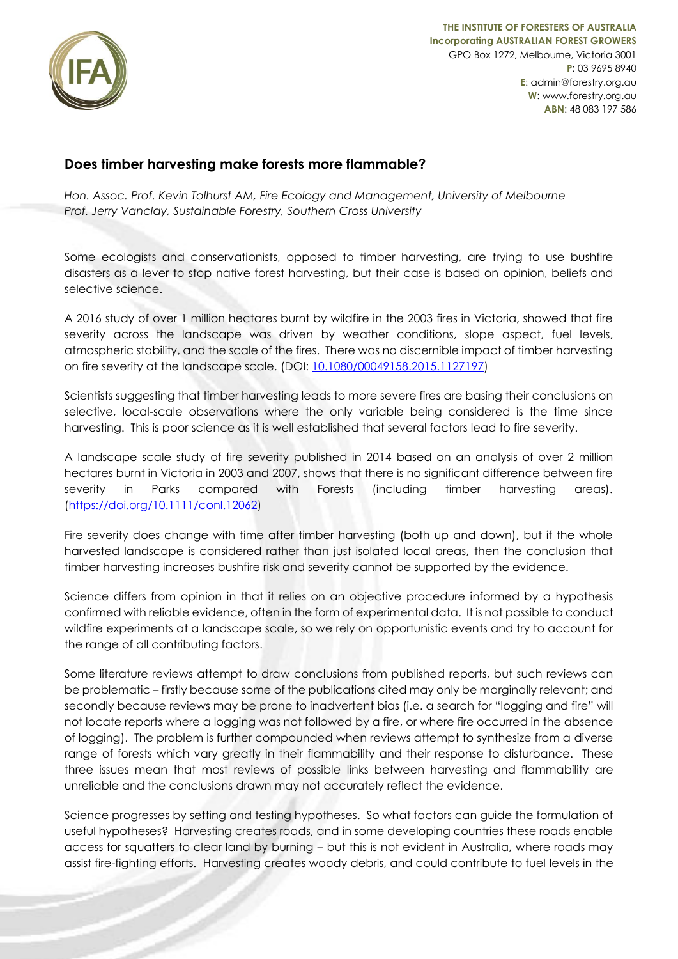

## **Does timber harvesting make forests more flammable?**

*Hon. Assoc. Prof. Kevin Tolhurst AM, Fire Ecology and Management, University of Melbourne Prof. Jerry Vanclay, Sustainable Forestry, Southern Cross University*

Some ecologists and conservationists, opposed to timber harvesting, are trying to use bushfire disasters as a lever to stop native forest harvesting, but their case is based on opinion, beliefs and selective science.

A 2016 study of over 1 million hectares burnt by wildfire in the 2003 fires in Victoria, showed that fire severity across the landscape was driven by weather conditions, slope aspect, fuel levels, atmospheric stability, and the scale of the fires. There was no discernible impact of timber harvesting on fire severity at the landscape scale. (DOI: [10.1080/00049158.2015.1127197\)](https://doi.org/10.1080/00049158.2015.1127197)

Scientists suggesting that timber harvesting leads to more severe fires are basing their conclusions on selective, local-scale observations where the only variable being considered is the time since harvesting. This is poor science as it is well established that several factors lead to fire severity.

A landscape scale study of fire severity published in 2014 based on an analysis of over 2 million hectares burnt in Victoria in 2003 and 2007, shows that there is no significant difference between fire severity in Parks compared with Forests (including timber harvesting areas). [\(https://doi.org/10.1111/conl.12062\)](https://doi.org/10.1111/conl.12062)

Fire severity does change with time after timber harvesting (both up and down), but if the whole harvested landscape is considered rather than just isolated local areas, then the conclusion that timber harvesting increases bushfire risk and severity cannot be supported by the evidence.

Science differs from opinion in that it relies on an objective procedure informed by a hypothesis confirmed with reliable evidence, often in the form of experimental data. It is not possible to conduct wildfire experiments at a landscape scale, so we rely on opportunistic events and try to account for the range of all contributing factors.

Some literature reviews attempt to draw conclusions from published reports, but such reviews can be problematic – firstly because some of the publications cited may only be marginally relevant; and secondly because reviews may be prone to inadvertent bias (i.e. a search for "logging and fire" will not locate reports where a logging was not followed by a fire, or where fire occurred in the absence of logging). The problem is further compounded when reviews attempt to synthesize from a diverse range of forests which vary greatly in their flammability and their response to disturbance. These three issues mean that most reviews of possible links between harvesting and flammability are unreliable and the conclusions drawn may not accurately reflect the evidence.

Science progresses by setting and testing hypotheses. So what factors can guide the formulation of useful hypotheses? Harvesting creates roads, and in some developing countries these roads enable access for squatters to clear land by burning – but this is not evident in Australia, where roads may assist fire-fighting efforts. Harvesting creates woody debris, and could contribute to fuel levels in the